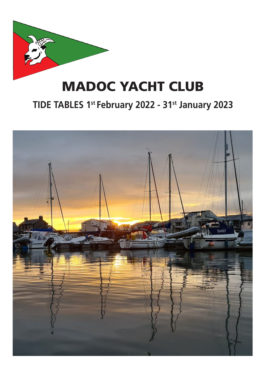

# MADOC YACHT CLUB

#### **TIDE TABLES 1st February 2022 - 31st January 2023**

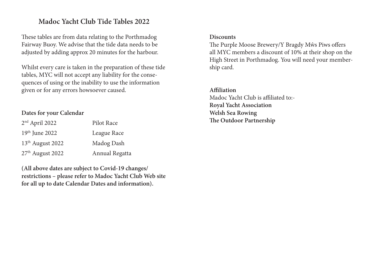#### **Madoc Yacht Club Tide Tables 2022**

These tables are from data relating to the Porthmadog Fairway Buoy. We advise that the tide data needs to be adjusted by adding approx 20 minutes for the harbour.

Whilst every care is taken in the preparation of these tide tables, MYC will not accept any liability for the consequences of using or the inability to use the information given or for any errors howsoever caused.

#### **Dates for your Calendar**

| 2 <sup>nd</sup> April 2022   | Pilot Race     |
|------------------------------|----------------|
| 19th June 2022               | League Race    |
| 13 <sup>th</sup> August 2022 | Madog Dash     |
| 27 <sup>th</sup> August 2022 | Annual Regatta |

**(All above dates are subject to Covid-19 changes/ restrictions – please refer to Madoc Yacht Club Web site for all up to date Calendar Dates and information).**

#### **Discounts**

The Purple Moose Brewery/Y Bragdy Mŵs Piws offers all MYC members a discount of 10% at their shop on the High Street in Porthmadog. You will need your membership card.

**Affiliation** Madoc Yacht Club is affiliated to:- **Royal Yacht Association Welsh Sea Rowing The Outdoor Partnership**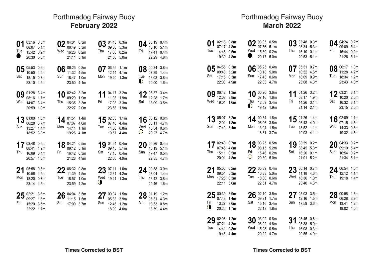# **Criccieth - February 2022** GMT (+0:00) **February 2022** Porthmadog Fairway Buoy

| 01<br>D | 03:16 0.5m<br>08:07 5.1m<br>Tue 15:42 0.2m<br>20:30 5.0m        |                      |     | 02 $^{04:01}_{08:49}$ 5.3m<br>Wed 16:26 0.2m<br>21:11 5.1m  |                            |          | 03 04:43 0.3m<br>09:30 5.3m<br>Thu 17:06 0.2m<br>21:50 5.0m |                    | Fri              | 04 $^{05:19}_{10:10}$ 0.4m<br>17:41 0.4m<br>22:29 4.8m               |  |
|---------|-----------------------------------------------------------------|----------------------|-----|-------------------------------------------------------------|----------------------------|----------|-------------------------------------------------------------|--------------------|------------------|----------------------------------------------------------------------|--|
| Sat     | 10:50 4.9m<br>18:15 0.7m<br>23:10 4.5m                          | $05^{05:53}_{00:60}$ | Sun | 06 06:25 0.8m<br>11:32 4.5m<br>18:47 1.0m<br>23:50 4.1m     |                            | Mon      | 12:14 4.1m<br>19:20 1.3m                                    | 07 $^{06:55}$ 1.1m | Tue<br>$\bullet$ | 08 00:34 3.8m<br>07:29 1.4m<br>13:03 3.8m<br>20:00 1.6m              |  |
|         | 08:16 1.7m<br>Wed 14:07 3.4m<br>20:59 1.9m                      | 09 01:28 3.4m        |     | 09:29 1.9m<br>Thu 15:35 3.3m<br>22:27 2.0m                  | 10 02:42 3.2m              | Fri      | 11:08 1.9m<br>17:08 3.3m<br>23:58 1.9m                      | 11 04:17 3.2m      |                  | 12 $^{05:37}$ 3.4m<br>Sat 18:09 3.5m                                 |  |
|         | 06:28 3.7m<br>Sun 13:27 1.4m<br>18:52 3.8m                      | 13 01:00 1.6m        |     | Mon 14:14 1.1m<br>19:26 4.1m                                | 14 $^{01:51}_{07:07}$ 4.0m | Tue      | 07:40 4.4m<br>14:56 0.8m<br>19:57 4.4m                      | 15 $_{02:33}$ 1.1m | Wed<br>$\circ$   | 16 03:12 0.8m<br>08:11 4.7m<br>15:34 0.6m<br>20:27 4.7m              |  |
|         | 17 03:48 0.6m<br>08:41 4.9m<br>Thu 16:09 0.4m<br>20:57 4.8m     |                      |     | 18 04:21 0.5m<br>09:12 5.1m<br>Fri 16:42 0.3m<br>21:28 4.9m |                            |          | 09:45 5.1m<br>Sat 17:15 0.4m<br>22:00 4.9m                  | 19 04:54 0.4m      | Sun              | $20^{05:26}_{0.40}$ $0.4m$<br>10:19 5.1m<br>17:47 0.5m<br>22:35 4.7m |  |
|         | $21^{05:58}$ 0.5m<br>10:56 4.9m<br>Mon 18:20 0.7m<br>23:14 4.5m |                      |     | $22^{06:32}$ 0.8m<br>Tue 18:57 1.0m<br>23:59 4.2m           |                            | Wed<br>◑ | 12:31 4.2m<br>19:41 1.3m                                    | $23^{07:11}$ 1.0m  | Thu              | 24 $^{00:58}$ 3.9m<br>13:42 3.8m<br>20:46 1.6m                       |  |
| Fri     | $25^{02:21}$ 3.6m<br>09:27 1.6m<br>15:20 3.5m<br>22:22 1.7m     |                      | Sat | $26^{04:04}$ 3.5m<br>11:15 1.5m<br>17:00 3.7m               |                            | Sun      | $27^{00.04}$ 1.5m<br>05:33 3.9m<br>12:46 1.2m<br>18:09 4.0m |                    | Mon              | 28 01:19 1.2m<br>06:31 4.3m<br>13:53 0.8m<br>18:59 4.4m              |  |

#### **March 2022** GMT (+1:00)/GMT (+0:00) Porthmadog Fairway Buoy

| 01<br>Tue | 02:18 0.8m<br>07:17 4.8m<br>14:46 0.5m<br>19:39 4.8m                |                    | $\bullet$         | 02 03:05 0.5m<br>Wed 15:30 0.2m<br>20:17 5.0m                               |                                   | Thu       | 03 03:48 0.3m<br>08:34<br>16:10 0.1m<br>20:53 5.1m          | 5.3m                        | Fri | 04 $^{04:24}$ 0.2m<br>09:09 5.4m<br>16:44 0.2m<br>21:26 5.1m          |                  |
|-----------|---------------------------------------------------------------------|--------------------|-------------------|-----------------------------------------------------------------------------|-----------------------------------|-----------|-------------------------------------------------------------|-----------------------------|-----|-----------------------------------------------------------------------|------------------|
| Sat       | 05 04:56 0.3m<br>09:43 5.2m<br>17:15 0.3m<br>22:00 4.9m             |                    | Sun               | 06 $^{05:25}_{0.10:10}$ $^{0.4m}$<br>10:18 5.0m<br>17:43 0.6m<br>22:33 4.7m |                                   |           | 10:52 4.6m<br>Mon 18:09 0.9m<br>23:08 4.3m                  | $07^{05:51}_{0.52}$ 0.7m    | Tue | 08 $^{06:17}$ 1.0m<br>11:28 4.2m<br>18:34 1.2m<br>23:43 4.0m          |                  |
|           | 12:08 3.8m<br>Wed 19:01 1.6m                                        | 09 $^{06:42}$ 1.3m | Thu<br>$\bullet$  | 07:16 1.6m<br>12:59 3.4m<br>19:42 1.9m                                      | 10 00:26 3.6m 11                  | Fri       | 08:17 1.9m<br>14:26 3.1m<br>21:14 2.1m                      | 01:26 3.2m                  | Sat | 12 03:21 3.1m<br>10:20 2.0m<br>16:32 3.1m<br>23:15 2.0m               |                  |
|           | 12:01 1.8m<br>Sun 17:49 3.4m                                        | 13 $^{05:07}$ 3.2m |                   | 14 $^{00:34}$ 1.8m<br>06:06 3.6m<br>Mon 13:04 1.5m<br>18:31 3.7m            |                                   | Tue       | 06:43 4.0m<br>13:52 1.1m                                    | 15 01:26 1.4m<br>19:03 4.1m |     | 16 02:09 1.1m<br>07:15 4.5m<br>Wed 14:33 0.8m<br>19:32 4.5m           |                  |
| Thu       | 07:45 4.8m<br>15:11 0.5m<br>20:01 4.8m                              | 17 $^{02:48}$ 0.7m | Fri<br>$\bigcirc$ | 08:15 5.2m<br>15:46 0.2m<br>20:30 5.0m                                      | 18 $^{03:25}_{08:15}$ 5 $^{0.5m}$ | Sat       | 08:45 5.3m<br>16:20 0.1m<br>21:01 5.2m                      | 19 $03:59$ 0.2m             | Sun | $20^{04:33}_{00:40}$ $5.40$<br>09:19 5.4m<br>16:54 0.2m<br>21:34 5.1m |                  |
|           | 21 05:06 0.2m<br>09:54 5.3m<br>Mon 17:26 0.3m<br>22:11 5.0m         |                    | Tue               | $22^{05:39}$ 0.4m<br>18:00 0.6m<br>22:51 4.7m                               |                                   |           | 23 06:14 0.7m<br>11:18 4.6m<br>Wed 18:36 1.0m<br>23:40 4.3m |                             | Thu | 24 $^{06:54}$ 1.0m<br>12:12 4.1m<br>19:18 1.4m                        |                  |
| Fri<br>◑  | $25^{00:39}_{07:49}$ 3.9m<br>07:48 1.4m<br>13:27 3.6m<br>20:26 1.7m |                    | Sat               | $26^{02:10}$ 3.5m<br>09:21 1.7m<br>15:16 3.4m<br>22:13 1.8m                 |                                   | Sun       | $05:03$ 3.5m<br>12:16 1.5m<br>17:59 3.6m                    |                             | Mon | $28^{00:58}$ 1.6m<br>06:28 3.9m<br>13:41<br>19:02 4.0m                | 1.2 <sub>m</sub> |
| Tue       | 29 02:08 1.2m<br>07:21 4.3m<br>14:41 0.8m<br>19:46 4.4m             |                    | Wed               | $30^{03:02}_{08:02}$ 0.8m<br>08:02 4.8m<br>15:28 0.5m<br>20:22 4.7m         |                                   | 31<br>Thu | 03:45 0.6m<br>08:38 5.0m<br>16:08 0.3m<br>20:55 4.9m        |                             |     |                                                                       |                  |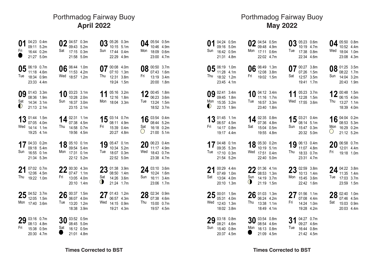## **Criccieth - April 2022** GMT (+1:00) **April 2022** Porthmadog Fairway Buoy

| 01<br>Fri        | 04:23 0.4m<br>09:11 5.2m<br>16:44 0.2m<br>21:27 5.0m    |      | Sat       | 04:57 0.3m<br>09:43<br>17:15 0.3m<br>21:58 5.0m             | 5.2m | 03<br>Sun      | 05:26 0.3m<br>10:15<br>17:44 0.4m<br>22:29 4.9m              | 5.1 <sub>m</sub>                     | Mon            | 05:54 0.5m<br>10:46<br>18:09 0.6m<br>23:00 4.7m         | 4.9 <sub>m</sub>                     |
|------------------|---------------------------------------------------------|------|-----------|-------------------------------------------------------------|------|----------------|--------------------------------------------------------------|--------------------------------------|----------------|---------------------------------------------------------|--------------------------------------|
| Tue              | 06:19 0.7m<br>11:18 4.6m<br>18:34 0.9m<br>23:33 4.4m    |      | 06<br>Wed | 06:44 1.0m<br>11:53<br>18:57 1.2m                           | 4.2m | Thu            | 00:08 4.0m<br>07:10<br>12:31<br>19:24 1.5m                   | 1.3 <sub>m</sub><br>3.8 <sub>m</sub> | Fri            | 08 $^{00:50}$ 3.7m<br>07:43<br>13:19 3.4m<br>20:00 1.8m | 1.6 <sub>m</sub>                     |
| Sat<br>$\bullet$ | 09 01:43 3.3m<br>08:36 1.9m<br>14:34 3.1m<br>21:13 2.1m |      | 10<br>Sun | 03:23 3.1m<br>10:28 2.0m<br>16:37 3.0m<br>23:15 2.1m        |      | Mon            | 05:16 3.2m<br>12:16<br>18:04 3.3m                            | 1.8 <sub>m</sub>                     | 12<br>Tue      | 00:45 1.8m<br>06:23<br>13:24 1.5m<br>18:52 3.7m         | 3.6 <sub>m</sub>                     |
| Wed              | 13 01:44 1.5m<br>07:05 4.0m<br>14:14 1.1m<br>19:25 4.1m |      | Thu       | 02:31 1.1m<br>07:38 4.5m<br>14:58 0.7m<br>19:56 4.5m        |      | Fri            | 15 $^{03:14}$ 0.7m<br>08:11 4.9m<br>15:39 0.4m<br>20:27 4.8m |                                      | Sat<br>$\circ$ | 16 03:54 0.4m<br>08:44 5.2m<br>16:18 0.2m<br>21:00 5.1m |                                      |
| Sun              | 17 04:33 0.2m<br>09:18 5.4m<br>16:55 0.1m<br>21:34 5.3m |      | Mon       | 18 05:10 0.1m<br>09:54 5.4m<br>17:31 0.1m<br>22:12 5.2m     |      | 19<br>Tue      | 05:47 0.1m<br>10:34 5.2m<br>18:07 0.3m<br>22:52 5.0m         |                                      | 20<br>Wed      | 06:23 0.4m<br>11:17 4.9m<br>18:43 0.7m<br>23:38 4.7m    |                                      |
| 21<br>Thu        | 07:02 0.7m<br>12:06 4.5m<br>19:22 1.0m                  |      | Fri       | $22^{00:30}$ 4.3m<br>07:47 1.1m<br>13:05 4.0m<br>20:10 1.4m |      | 23<br>Sat<br>◑ | 01:38 3.9m<br>08:50 1.4m<br>14:26 3.6m<br>21:24 1.7m         |                                      | 24<br>Sun      | 03:10 3.6m<br>10:24<br>16:11<br>23:06 1.7m              | 1.6 <sub>m</sub><br>3.4 <sub>m</sub> |
| Mon              | $25^{04:52}_{12:05}$ 3.7m<br>12:05<br>17:40 3.6m        | 1.5m | 26<br>Tue | 00:37 1.5m<br>06:07 4.0m<br>13:20<br>18:38 3.9m             | 1.2m | Wed            | 01:43 1.2m<br>06:57 4.3m<br>14:15 0.9m<br>19:21 4.3m         |                                      | 28<br>Thu      | 02:34 0.9m<br>07:38 4.6m<br>15:00 0.7m<br>19:57 4.5m    |                                      |
| Fri              | 29 03:16 0.7m<br>08:13 4.8m<br>15:38 0.5m               |      | 30<br>Sat | 03:52 0.5m<br>08:45 5.0m<br>16:12 0.5m                      |      |                |                                                              |                                      |                |                                                         |                                      |

## **May 2022** Porthmadog Fairway Buoy

| 01<br>Sun        | 04:24 0.5m<br>09:16 5.0m<br>16:42 0.5m<br>21:31 4.8m        | Mon              | 02 04:54 0.5m<br>17:11 0.6m<br>22:02 4.7m                           |                  | Tue       | 03 05:23 0.6m<br>10:19 4.7m<br>17:38 0.8m<br>22:34 4.6m              |                  | 04<br>Wed      | 05:50 0.8m<br>10:52 4.4m<br>18:04 1.0m<br>23:08 4.3m                 |      |
|------------------|-------------------------------------------------------------|------------------|---------------------------------------------------------------------|------------------|-----------|----------------------------------------------------------------------|------------------|----------------|----------------------------------------------------------------------|------|
| Thu              | 05 06:19 1.0m<br>11:28 4.1m<br>18:32 1.2m<br>23:45 4.1m     | Fri              | 06 06:49 1.3m<br>12:08 3.8m<br>19:02 1.5m                           |                  | Sat       | 07 $^{00:27}$ 3.8m<br>07:26 1.5m<br>12:57 3.5m<br>19:41              | 1.7 <sub>m</sub> | Sun            | 08 01:25 3.5m<br>08:22 1.7m<br>14:04 3.2m<br>20:43 1.9m              |      |
| Mon<br>$\bullet$ | 09 02:41 3.4m<br>09:45 1.8m<br>15:35 3.2m<br>22:15 1.9m     | Tue              | 10 $04:12$ 3.4m<br>11:16 1.7m<br>16:57 3.3m<br>23:40 1.8m           |                  | 11<br>Wed | 05:23 3.7m<br>12:28 1.5m<br>17:55 3.6m                               |                  | Thu            | 12 00:48 1.5m<br>06:15 4.0m<br>13:27 1.1m<br>18:39 4.0m              |      |
| Fri              | 13 01:45 1.1m<br>06:57 4.5m<br>14:17 0.8m<br>19:17 4.4m     | Sat              | 14 02:35 0.8m<br>07:36 4.8m<br>15:04 0.5m<br>19:55 4.8m             |                  | Sun       | 15 $^{03:21}_{08:14}$ 5.1m<br>08:14 5.1m<br>15:47 0.3m<br>20:32 5.0m |                  | Mon<br>$\circ$ | 16 04:04 0.2m<br>08:53 5.3m<br>16:29 0.2m<br>21:12 5.2m              |      |
| Tue              | 17 04:48 0.1m<br>09:35 5.3m<br>17:10 0.3m<br>21:54 5.2m     |                  | 18 $^{05:30}$ 0.2m<br>10:19 5.1m<br>Wed 17:51<br>22:40 5.0m         | 0.4 <sub>m</sub> | Thu       | 19 06:13 0.4m<br>11:07 4.8m<br>18:33 0.7m<br>23:31 4.7m              |                  | Fri            | $20^{06:58}$ 0.7m<br>12:01<br>19:18 1.0m                             | 4.4m |
| 21<br>Sat        | 00:29 4.4m<br>07:49 1.0m<br>13:04 4.0m<br>20:10 1.3m        | Sun<br>0         | $22^{01:36}$ 4.1m<br>14:19 3.7m<br>21:19 1.5m                       |                  | Mon       | 23 02:59 3.8m<br>10:13 1.4m<br>15:45 3.6m<br>22:42 1.6m              |                  | Tue            | 24 $^{04:22}_{14:25}$ 3.8m<br>11:35 1.4m<br>17:03 3.7m<br>23:59 1.5m |      |
| Wed              | $25^{00:01}$ 1.5m<br>05:31 4.0m<br>12:43 1.3m<br>18:02 3.8m | Thu              | $26$ 01:03 1.3m<br>06:24 4.2m<br>13:38 1.1m<br>18:49 4.1m           |                  | 27<br>Fri | 01:56 1.1m<br>07:08 4.4m<br>14:24 1.0m<br>19:28 4.2m                 |                  | Sat            | $28^{02:40}$ 1.0m<br>07:46 4.5m<br>15:03 0.9m<br>20:03 4.4m          |      |
| Sun              | 29 03:18 0.8m<br>08:21 4.6m<br>15:40 0.8m<br>20:37 4.5m     | Mon<br>$\bullet$ | $30^{03:54}_{09:54}$ 0.8m<br>08:54 4.6m<br>16:13 0.8m<br>21:09 4.5m |                  | 31<br>Tue | 04:27 0.7m<br>09:27 4.6m<br>16:44 0.8m<br>21:42 4.5m                 |                  |                |                                                                      |      |

21:01 4.8m

20:30 4.7m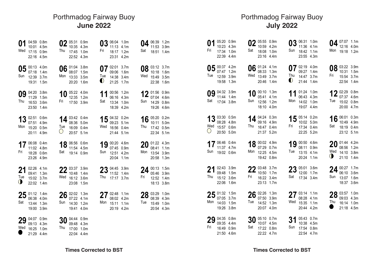## **Criccieth - June 2022** GMT (+1:00) **June 2022** Porthmadog Fairway Buoy

| 01             | 04:59 0.8m<br>10:01 4.5m<br>Wed 17:15 0.9m<br>22:16 4.5m             | Thu               | 02 $^{05:31}_{0.25}$ $^{0.9m}$<br>10:35 4.3m<br>17:45 1.0m<br>22:52 4.3m |                 | 03<br>Fri        | 06:04 1.0m<br>11:13<br>18:17 1.2m<br>23:31 4.2m         | 4.1 <sub>m</sub> | 04<br>Sat | 06:39 1.2m<br>11:53<br>18:51 1.4m                       | 3.9 <sub>m</sub> |
|----------------|----------------------------------------------------------------------|-------------------|--------------------------------------------------------------------------|-----------------|------------------|---------------------------------------------------------|------------------|-----------|---------------------------------------------------------|------------------|
| Sun            | 05 $_{07.40}^{00.13}$ 4.0m<br>07:18 1.4m<br>12:39 3.7m<br>19:31 1.5m |                   | 06 $_{0.027}^{01:04}$ 3.8m<br>08:07 1.5m<br>Mon 13:33 3.5m<br>20:20 1.6m |                 | Tue<br>$\bullet$ | 07 02:01 3.7m<br>09:06 1.6m<br>14:38 3.4m<br>21:25 1.7m |                  |           | 08 03:12 3.7m<br>10:18<br>Wed 15:49 3.5m<br>22:38 1.6m  | 1.6 <sub>m</sub> |
| Thu            | 09 04:20 3.8m<br>11:29 1.5m<br>16:53 3.6m<br>23:50 1.4m              | Fri               | 12:35 1.2m<br>17:50 3.9m                                                 | 10 $05:22$ 4.0m | Sat              | 06:16 4.3m<br>13:34 1.0m<br>18:39 4.2m                  | 11 00:56 1.2m    | Sun       | 12 01:56 0.9m<br>07:04 4.6m<br>14:29 0.8m<br>19:26 4.6m |                  |
|                | 13 02:51 0.6m<br>07:51 4.9m<br>Mon 15:20 0.5m<br>20:11 4.9m          | Tue<br>$\bigcirc$ | 14 $^{03:42}_{09:26}$ 5.0<br>08:36 5.0m<br>16:09 0.4m<br>20:57 5.1m      |                 |                  | 09:23 5.1m<br>Wed 16:56 0.4m<br>21:44 5.1m              | 15 04:32 0.2m    | Thu       | 16 05:20 0.2m<br>10:11 5.0m<br>17:42 0.5m<br>22:34 5.1m |                  |
| Fri            | 17 06:08 0.4m<br>11:02 4.8m<br>18:28 0.6m<br>23:26 4.9m              | Sat               | 11:54 4.5m<br>19:14 0.9m                                                 | 18 06:56 0.6m   | Sun              | 19 00:20 4.6m<br>07:45 0.9m<br>12:51 4.2m<br>20:04 1.1m |                  | Mon       | $20$ 01:22 4.3m<br>08:41 1.1m<br>13:54<br>20:58 1.3m    | 3.9 <sub>m</sub> |
| 21<br>Tue<br>◑ | 02:26 4.1m<br>09:41 1.3m<br>15:02 3.7m<br>22:02 1.4m                 |                   | 22 $^{03:37}$ 3.9m<br>Wed 16:12 3.6m<br>23:08 1.5m                       |                 | Thu              | $23^{04:45}_{11:52}$ 1.4m<br>11:52 1.4m<br>17:17 3.7m   |                  | Fri       | $24^{00:13}$ 1.5m<br>05:46<br>12:52 1.4m<br>18:13 3.8m  | 3.9 <sub>m</sub> |
| Sat            | $25^{01:12}_{06:38}$ 1.4m<br>06:38 4.0m<br>13:44 1.3m<br>19:00 3.9m  | Sun               | $26^{02:02}_{07:22}$ 1.3m<br>07:22 4.1m<br>14:30 1.2m<br>19:41 4.0m      |                 | Mon              | 27 02:48 1.1m<br>08:02 4.2m<br>15:11 1.1m<br>20:19 4.2m |                  | Tue       | 28 03:29 1.0m<br>08:39 4.3m<br>15:49 1.0m<br>20:54 4.3m |                  |
|                | 29 04:07 0.9m<br>09:13 4.3m<br>Wed 16:25 1.0m                        | 30<br>Thu         | 04:44 0.9m<br>09:48 4.3m<br>17:00 1.0m                                   |                 |                  |                                                         |                  |           |                                                         |                  |

### **Criccieth - July 2022** GMT (+1:00) **July 2022** Porthmadog Fairway Buoy

| 01<br>Fri         | 05:20 0.9m<br>10:23 4.3m<br>17:34 1.0m<br>22:39 4.4m            | Sat | 02 $^{05:55}_{10:59}$ 0.9m<br>18:08 1.0m<br>23:16 4.4m       | Sun              | 03 06:31 1.0m<br>11:36 4.1m<br>18:42 1.1m<br>23:55 4.3m           |            | 04        | 07:07 1.1m<br>12:16<br>Mon 19:18 1.2m                       | 4.0m |
|-------------------|-----------------------------------------------------------------|-----|--------------------------------------------------------------|------------------|-------------------------------------------------------------------|------------|-----------|-------------------------------------------------------------|------|
| Tue               | 05 $^{00:37}$ 4.2m<br>07:47 1.2m<br>12:59 3.9m<br>19:58 1.3m    | Wed | 06 01:24 4.1m<br>08:33 1.3m<br>13:49 3.7m<br>20:46 1.4m      | Thu<br>$\bullet$ | 07 $^{02:19}_{00}$ 4.0m<br>09:27 1.4m<br>14:47 3.7m<br>21:44 1.4m |            | Fri       | 08 03:22 3.9m<br>10:31 1.5m<br>15:54 3.7m<br>22:54 1.4m     |      |
| Sat               | 09 04:32 3.9m<br>11:44 1.4m<br>17:04 3.8m                       | Sun | 10 $^{00:10}$ 1.3m<br>05:41 4.1m<br>12:56 1.2m<br>18:10 4.0m | 11               | 06:43 4.3m<br>Mon 14:02 1.0m<br>19:07 4.4m                        | 01:24 1.0m | Tue       | 12 02:29 0.8m<br>07:37 4.6m<br>15:02 0.8m<br>20:00 4.7m     |      |
| Wed<br>$\bigcirc$ | 13 03:30 0.5m<br>08:28 4.8m<br>15:57 0.6m<br>20:50 5.0m         |     | 14 04:24 0.3m<br>09:16 4.9m<br>Thu 16:47 0.4m<br>21:37 5.2m  |                  | 15 $^{05:14}$ 0.2m<br>10:02 5.0m<br>Fri 17:34 0.4m<br>22:25 5.2m  |            | Sat       | 16 06:01 0.3m<br>10:49 4.9m<br>18:19 0.4m<br>23:12 5.1m     |      |
| Sun               | 17 $^{06:46}_{44.67}$ 0.4m<br>11:37 4.7m<br>19:02 0.6m          |     | 18 00:02 4.9m<br>07:29 0.7m<br>Mon 12:25 4.5m<br>19:42 0.8m  | Tue              | 19 00:50 4.6m<br>08:11 0.9m<br>13:15 4.1m<br>20:24 1.1m           |            | Wed<br>0  | $20$ 01:44 4.2m<br>08:56 1.2m<br>14:10 3.8m<br>21:10 1.4m   |      |
| 21<br>Thu         | 02:43 3.9m<br>09:48 1.5m<br>15:12 3.6m<br>22:06 1.6m            | Fri | $22^{03:48}$ 3.7m<br>16:22 3.4m<br>23:13 1.7m                | Sat              | $23^{05:01}$ 3.6m<br>12:00 1.7m<br>17:34 3.4m                     |            | 24<br>Sun | 00:27 1.7m<br>06:10 3.6m<br>13:07 1.6m<br>18:37 3.6m        |      |
|                   | $25^{01:32}$ 1.5m<br>07:05 3.7m<br>Mon 14:03 1.5m<br>19:26 3.8m | Tue | $26^{02:26}$ 1.3m<br>07:50 3.9m<br>14:52 1.3m<br>20:07 4.0m  |                  | $27^{03:14}$ 1.1m<br>08:28 4.1m<br>Wed 15:35 1.1m<br>20:44 4.2m   |            | Thu       | $28^{03:57}$ 1.0m<br>09:03 4.3m<br>16:14 1.0m<br>21:18 4.5m |      |
| Fri               | 29 04:35 0.8m<br>09:35 4.4m<br>16:49 0.9m<br>21:50 4.6m         | Sat | $30^{05:10}$ 0.7m<br>10:07 4.5m<br>17:22 0.8m<br>22:22 4.7m  | 31<br>Sun        | 05:43 0.7m<br>10:38 4.5m<br>17:54 0.8m<br>22:54 4.7m              |            |           |                                                             |      |

22:04 4.4m

21:29 4.4m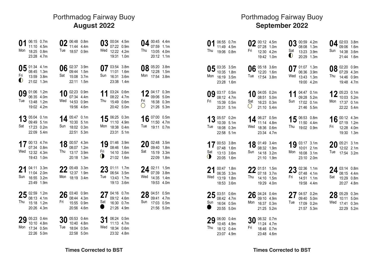#### **Criccieth - August 2022** GMT (+1:00) **August 2022** Porthmadog Fairway Buoy

4.4m 1.1m 4.0m 1.1m

3.8m 1.5m Mon 3.8m

0.3m 5.0m 0.3m 5.3m

0.5m 4.7m  $0.7<sub>m</sub>$ 

3.5m 1.8m 3.3m 1.8m

1.5m 3.8m 1.4m 4.0m

0.5m 4.7m 0.5m 5.0m

| 01<br>Mon        | 06:15 0.7m<br>11:10<br>18:25<br>23:28 4.7m           | 4.5 <sub>m</sub><br>0.8 <sub>m</sub>                     | Tue       | 06:48<br>11:44<br>18:57                    | 0.8 <sub>m</sub><br>4.4m<br>0.9 <sub>m</sub>                                 | 03<br>Wed | 00:04<br>07:22<br>12:22 4.2m<br>19:31                | 4.5m<br>0.9 <sub>m</sub><br>1.0 <sub>m</sub>             | 04<br>Thu      | 00:45<br>07:59<br>13:05<br>20:12 |
|------------------|------------------------------------------------------|----------------------------------------------------------|-----------|--------------------------------------------|------------------------------------------------------------------------------|-----------|------------------------------------------------------|----------------------------------------------------------|----------------|----------------------------------|
| Fri<br>$\bullet$ | 05 01:34 4.1m<br>08:45<br>13:59 3.8m<br>21:02        | 1.3m<br>1.3m                                             | 06<br>Sat | 02:37<br>09:44<br>15:08<br>22:11           | 3.9 <sub>m</sub><br>1.5m<br>3.7 <sub>m</sub><br>1.5 <sub>m</sub>             | Ū<br>Sun  | 03:54 3.8m<br>11:01<br>16:31<br>23:38 1.4m           | 1.6 <sub>m</sub><br>3.6 <sub>m</sub>                     | 08<br>Mon      | 05:20<br>12:28<br>17:54          |
| 09<br>Tue        | 01:06<br>06:35<br>13:48<br>19:02 4.2m                | 1.2m<br>4.0m<br>1.2m                                     | 10<br>Wed | 02:23 0.9m<br>07:34<br>14:53<br>19:56 4.6m | 4.4m<br>0.9 <sub>m</sub>                                                     | 11<br>Thu | 03:24 0.6m<br>08:22 4.7m<br>15:49 0.6m<br>20:42 5.0m |                                                          | 12<br>Fri<br>O | 04:17<br>09:06<br>16:38<br>21:26 |
| Sat              | 05:04 0.1m<br>09:49 5.1m<br>17:23 0.2m<br>22:09 5.4m |                                                          | 14<br>Sun | 05:47<br>10:30<br>18:02 0.3m<br>22:51      | 0.1 <sub>m</sub><br>5.1 <sub>m</sub><br>5.3m                                 | 15<br>Mon | 06:25 0.3m<br>11:10 4.9m<br>18:38 0.4m<br>23:31 5.1m |                                                          | 16<br>Tue      | 07:00<br>11:50<br>19:11          |
| 17<br>Wed        | 00:13 4.7m<br>07:34<br>12:32<br>19:43                | 0.8 <sub>m</sub><br>4.3m<br>1.0 <sub>m</sub>             | 18<br>Thu | 00:57<br>08:07<br>13:17<br>20:18           | 4.3 <sub>m</sub><br>1.2 <sub>m</sub><br>3.9 <sub>m</sub><br>1.3 <sub>m</sub> | Fri<br>0  | 19 01:46 3.9m<br>08:46<br>14:10<br>21:02             | 1.6 <sub>m</sub><br>3.6 <sub>m</sub><br>1.6 <sub>m</sub> | 20<br>Sat      | 02:48<br>09:40<br>15:19<br>22:09 |
| 21<br>Sun        | 04:11<br>11:04<br>16:55<br>23:49 1.9m                | 3.3 <sub>m</sub><br>2.0 <sub>m</sub><br>3.2 <sub>m</sub> | Mon       | 05:49<br>12:37<br>18:19                    | 3.3 <sub>m</sub><br>1.9 <sub>m</sub><br>3.4 <sub>m</sub>                     | 23<br>Tue | 01:11<br>06:54<br>13:43<br>19:13 3.6m                | 1.7 <sub>m</sub><br>3.5 <sub>m</sub><br>1.7 <sub>m</sub> | 24<br>Wed      | 02:11<br>07:39<br>14:35<br>19:53 |
| Thu              | 02:59 1.2m<br>08:13 4.1m<br>15:18<br>20:26 4.3m      | 1.2 <sub>m</sub>                                         | 26<br>Fri | 03:40 0.9m<br>08:44<br>15:55<br>20:56 4.6m | 4.3m<br>0.9 <sub>m</sub>                                                     | 27<br>Sat | 04:16 0.7m<br>09:12 4.6m<br>16:30 0.7m<br>21:26 4.9m |                                                          | Sun            | 04:51<br>09:41<br>17:03<br>21:56 |
| 29<br>Mon        | 05:23 0.4m<br>10:10<br>17:34<br>22:26                | 4.8m<br>0.5 <sub>m</sub><br>5.0m                         | 30<br>Tue | 05:53 0.4m<br>10:40<br>18:04<br>22:58      | 4.8m<br>0.5 <sub>m</sub><br>5.0m                                             | 31<br>Wed | 06:24 0.5m<br>11:13 4.7m<br>18:34 0.6m<br>23:32 4.8m |                                                          |                |                                  |

### September 2022 Porthmadog Fairway Buoy

|           | 01 $^{06:55}_{11:49}$ 4.5m     | Thu 19:06 0.8m                   | Fri | 02 00:12 4.5m<br>19:42 1.0m             | 12:30 4.2m                                         | $\bullet$ | 08:08 1.3m | 03 $^{00:59}$ 4.2m<br>Sat 13:23 3.9m<br>20:29 1.3m                                                                                         |     | 04 $^{02:03}$ 3.8m<br>09:06 1.6m<br>Sun 14:38 3.6m<br>21:44 1.6m |  |
|-----------|--------------------------------|----------------------------------|-----|-----------------------------------------|----------------------------------------------------|-----------|------------|--------------------------------------------------------------------------------------------------------------------------------------------|-----|------------------------------------------------------------------|--|
|           | Mon 16:19 3.5m<br>23:28 1.6m   | 05 $^{03:35}$ 3.5m<br>10:35 1.8m |     |                                         | 06 $^{05:18}$ 3.6m<br>12:20 1.6m<br>Tue 17:54 3.8m |           |            | 07 $^{01:07}_{06:36}$ $^{1.3m}$<br>06:36 3.9m<br>Wed 13:43 1.3m<br>19:00 4.2m                                                              |     | 08 02:20 0.9m<br>Thu 14:46 0.9m<br>19:48 4.7m                    |  |
|           | Fri 15:39 0.5m                 | 20:31 5.1m                       | Sat |                                         | 16:23 0.3m<br>$\bigcirc$ 21:10 5.4m                |           |            | Sun 17:02 0.1m<br>21:46 5.5m                                                                                                               |     | $12^{05:23}_{10:03}$ 5.2m<br>Mon 17:37 0.1m<br>22:22 5.4m        |  |
|           | Tue 18:08 0.3m<br>22:58 5.1m   |                                  |     | Wed 18:36 0.6m<br>23:34 4.7m            |                                                    |           |            | 13 05:57 0.2m $14$ 06:27 0.5m $15$ 06:53 0.8m $16$ 00:12 4.3m<br>Thu 19:02 0.9m                                                            | Fri | 12:28 4.0m<br>19:30 1.3m                                         |  |
| $\bullet$ | Sat 13:13 3.6m<br>20:05 1.6m   |                                  |     | Sun 14:18 3.2m<br>21:10 1.9m            |                                                    |           |            | 17 00:53 3.8m<br>18 03:47 3.4m<br>19 03:17 3.1m<br>19 03:17 3.1m<br>20 05:21 3.1m<br>12.02 2.1m<br>Mon 16:08 3.1m<br>23:10 2.0m            | Tue | 17:54 3.2m                                                       |  |
|           | Wed 13:19 1.8m<br>18:53 3.6m   |                                  |     | Thu 14:10 1.5m<br>19:29 4.0m            |                                                    | Fri       |            | 21 00:47 1.8m 22 01:51 1.5m 23 02:36 1.1m 24 03:14 0.8m<br>14:51 1.1m<br>19:58 4.4m                                                        | Sat | 15:29 0.8m<br>20:27 4.8m                                         |  |
|           | Sun 16:04 0.5m<br>$20:55$ 5.0m |                                  |     | 21:25 5.2m                              | Mon 16:37 0.3m                                     |           |            | 25 03:51 0.6m<br>26 04:24 0.4m<br>27 04:57 0.2m<br>28 05:29 0.3m<br>28 05:29 0.3m<br>10:11 5.0m<br>Tue 17:09 0.2m<br>21:57 5.3m 22:29 5.2m |     | Wed 17:41 0.3m                                                   |  |
|           | Thu 18:12 0.4m                 | $29^{06:00}$ 0.4m<br>10:45 4.9m  | Fri | $30^{06:32}_{11:24}$ 4.7m<br>18:46 0.7m |                                                    |           |            |                                                                                                                                            |     |                                                                  |  |

23:48 4.6m

23:07 4.9m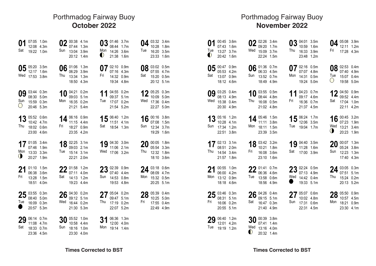### **Criccieth - October 2022** GMT (+1:00)/GMT (+0:00) **October 2022** Porthmadog Fairway Buoy

| Sat              | 01 $^{07:05}$ 1.0m<br>12:08 4.3m<br>19:22 1.0m                     |                             |     | 02 00:38 4.1m<br>07:44 1.3m<br>Sun 13:04 3.9m<br>20:12 1.4m         |                                                         | Mon<br>$\bullet$ | 03 01:46 3.7m<br>08:44<br>14:26 3.6m<br>21:38 1.6m      | 1.7 <sub>m</sub>                             | Tue | 04 $^{03:32}$ 3.4m<br>10:28<br>16:20 3.5m<br>23:33 1.6m               | 1.8 <sub>m</sub> |
|------------------|--------------------------------------------------------------------|-----------------------------|-----|---------------------------------------------------------------------|---------------------------------------------------------|------------------|---------------------------------------------------------|----------------------------------------------|-----|-----------------------------------------------------------------------|------------------|
|                  | 05 $^{05:20}$ 3.5m<br>12:17 1.6m<br>Wed 17:53 3.8m                 |                             | Thu | 06:29 3.9m<br>13:34 1.3m<br>18:50 4.3m                              | 06 $\frac{01:06}{06:20}$ 1.3m                           | Fri              | 07:16 4.3m<br>14:32 0.9m<br>19:34 4.8m                  | 07 $_{02:10}^{02:10}$ 0.9m                   | Sat | 08 03:02 0.5m<br>07:55 4.7m<br>15:20 0.5m<br>20:12 5.1m               |                  |
| Sun<br>$\circ$   | 08:30 5.0m<br>15:59 0.3m<br>20:46 5.3m                             | 09 $_{0.014}^{0.3144}$ 0.3m |     | 09:03 5.1m<br>Mon 16:35 0.2m<br>21:21 5.4m                          | 10 $_{0.913}^{0.421}$ 0.2m 11 $_{0.9135}^{0.4155}$ 0.2m | Tue              | 09:37 5.1m<br>17:07 0.2m<br>21:54 5.2m                  |                                              |     | 12 $^{05:25}_{10:09}$ 5.0m<br>Wed 17:36 0.4m<br>22:27 5.0m            |                  |
|                  | 13 05:52 0.6m<br>10:42 4.7m<br>Thu 18:02 0.6m<br>23:00 4.6m        |                             |     | Fri 18:27 0.9m<br>23:35 4.2m                                        | 14 $^{06:16}_{11:15}$ 0.9m                              | Sat              | 11:51 4.1m<br>18:54 1.3m                                | 15 $^{06:40}$ 1.2m                           |     | 16 00:16 3.8m<br>07:08 1.5m<br>Sun 12:34 3.7m<br>19:29 1.6m           |                  |
| $\bullet$        | 17 01:05 3.4m<br>07:46 1.9m<br>Mon 13:33 3.3m<br>20:27 1.9m        |                             |     | 18 02:25 3.1m<br>09:03 2.1m<br>Tue 15:14 3.1m<br>22:21 2.0m         |                                                         |                  | 11:06 2.1m<br>Wed 17:06 3.2m                            | 19 $\frac{04:30}{11:06}$ $\frac{3.0m}{2.1m}$ | Thu | $20^{00:05}$ 1.8m<br>05:54 3.3m<br>12:32 1.8m<br>18:10 3.6m           |                  |
| Fri              | $21$ 01:10 1.5m<br>06:38 3.6m<br>13:28 1.5m<br>18:51 4.0m          |                             | Sat | 22 01:58 1.2m<br>14:13 1.2m<br>19:23 4.4m                           |                                                         | Sun              | 23 02:39 0.9m<br>07:40 4.4m<br>14:53 0.8m<br>19:53 4.8m |                                              |     | 24 $^{03:18}$ 0.6m<br>08:09 4.7m<br>Mon 15:32 0.5m<br>20:25 5.1m      |                  |
| Tue<br>$\bullet$ | $25^{03:55}_{08:40}$ 50m<br>08:40 5.0m<br>16:09 0.3m<br>20:57 5.3m |                             |     | $26^{04:30}$ 0.2m<br>09:12 5.1m<br>Wed 16:44 0.2m<br>21:30 5.3m     |                                                         | Thu              | 09:47 5.1m<br>17:19 0.2m<br>22:07 5.2m                  | 27 $^{05:04}$ 0.2m                           | Fri | $28^{05:39}_{10:25}$ $5.25$<br>10:25 5.0m<br>17:55 0.4m<br>22:49 4.9m |                  |
| Sat              | 29 06:14 0.7m<br>11:08 4.7m<br>18:33 0.7m<br>23:36 4.5m            |                             | Sun | $30^{05:52}_{10:52}$ 1.0m<br>10:58 4.4m<br>18:16 1.0m<br>23:30 4.0m |                                                         | 31<br>Mon        | 06:36 1.3m<br>12:00 4.0m<br>19:14 1.4m                  |                                              |     |                                                                       |                  |

### **November 2022** Porthmadog Fairway Buoy

| 01<br>Tue<br>$\bullet$ | 00:45 3.6m<br>07:43 1.6m<br>13:27 3.7m<br>20:42 1.6m                 |                              |     | 02 02:26 3.4m<br>Wed 15:09 3.7m<br>22:24 1.5m                                |                                 | Thu              | 03 04:01 3.5m<br>10:59<br>16:33 3.9m<br>23:48 1.2m                            | 1.6 <sub>m</sub>            | Fri               | 04 05:08 3.9m<br>12:11<br>17:28 4.3m                         | 1.2m |
|------------------------|----------------------------------------------------------------------|------------------------------|-----|------------------------------------------------------------------------------|---------------------------------|------------------|-------------------------------------------------------------------------------|-----------------------------|-------------------|--------------------------------------------------------------|------|
| Sat                    | 05 $_{0.47}^{0.0147}$ 0.9m<br>05:53 4.2m<br>13:07 0.9m<br>18:12 4.6m |                              | Sun | 06:33 4.5m<br>13:52 0.7m<br>18:49 4.9m                                       | 06 $_{0.002}^{0.136}$ 0.7m      |                  | 07:07 4.8m<br>Mon 14:31 0.5m<br>19:24 5.0m                                    | $07^{02:16}_{02:22}$ 0.5m   | Tue<br>$\bigcirc$ | 08 02:53 0.4m<br>07:40 4.9m<br>15:07 0.4m<br>19:58 5.0m      |      |
|                        | 08:13 4.9m<br>Wed 15:38 0.4m<br>20:30 4.9m                           | $09$ $\frac{03:25}{00}$ 0.4m | Thu | 08:44 4.8m<br>16:08 0.5m<br>21:02 4.8m                                       | 10 $^{03:55}_{02:14}$ 10        | Fri              | 09:17 4.6m<br>16:36 0.7m                                                      | 11 04:23 0.7m<br>21:37 4.5m | Sat               | 12 $^{04:50}_{09:52}$ 0.9m<br>17:04 1.0m<br>22:11 4.2m       |      |
|                        | 10:28 4.1m<br>Sun 17:34 1.2m<br>22:51 3.8m                           | 13 $05:16$ 1.2m              |     | 11:11 3.8m<br>Mon 18:11 1.5m<br>23:39 3.5m                                   | 14 $^{05:46}$ 1.5m              | Tue              | 12:06 3.5m<br>19:04 1.7m                                                      | 15 $^{06:24}$ 1.7m          | Wed<br>$\bullet$  | 16 $^{00:45}$ 3.2m<br>07:23 1.9m<br>13:21 3.4m<br>20:23 1.9m |      |
|                        | 08:51 2.0m<br>Thu 14:54 3.4m<br>21:57 1.8m                           | 17 $_{0.654}^{02:13}$ 3.1m   | Fri | 10:21 1.8m<br>16:08 3.6m<br>23:10 1.6m                                       | 18 $^{03:42}_{10:21}$ $^{3.2m}$ | Sat              | 11:28 1.6m<br>17:00 3.9m                                                      | 19 04:40 3.5m               | Sun               | $20^{00:07}$ 1.3m<br>05:24 3.8m<br>12:23 1.3m<br>17:40 4.3m  |      |
| 21<br>Mon              | 00:55 1.0m<br>06:00 4.2m<br>13:12 0.9m<br>18:18 4.6m                 |                              | Tue | 22 01:41 0.7m<br>13:58 0.6m<br>18:56 4.9m                                    |                                 | Wed<br>$\bullet$ | 07:13 4.9m<br>14:42 0.4m<br>19:33 5.1m                                        | 23 $_{07:13}^{02:24}$ 0.5m  | Thu               | 24 03:05 0.3m<br>07:51 5.1m<br>15:24 0.2m<br>20:13 5.2m      |      |
| Fri                    | $25^{03:46}_{08:24}$ 6.3m<br>08:31 5.1m<br>16:06 0.2m<br>20:55 5.1m  |                              |     | $26^{04:26}_{00:15}$ $^{0.4m}$<br>09:15 5.1m<br>Sat 16:47 0.3m<br>21:40 4.9m |                                 |                  | 27 $^{05:07}_{10:02}$ $^{0.6m}$<br>10:02 4.8m<br>Sun 17:31 0.6m<br>22:31 4.5m |                             |                   | 28 05:50 0.9m<br>10:57 4.5m<br>Mon 18:21 0.9m<br>23:30 4.1m  |      |
|                        | 29 06:40 1.2m<br>12:01 4.2m<br>Tue 19:19 1.2m                        |                              |     | 30 00:39 3.8m<br>07:41 1.4m<br>Wed 13:16 4.0m                                |                                 |                  |                                                                               |                             |                   |                                                              |      |

**Times Corrected to BST Times Corrected to BST**

20:32 1.4m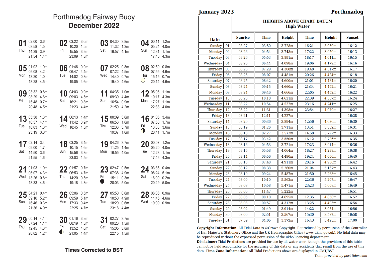#### December 2022 Porthmadog Fairway Buoy

| Thu       | 01 $^{02:00}$ 3.6m<br>08:58 1.5m<br>14:39 3.9m<br>21:54 1.4m            |               | Fri              | 02 03:22 3.6m<br>10:20 1.5m<br>15:55 3.9m<br>23:09 1.3m                   |                                       | Sat              | 03 04:30 3.8m<br>11:32<br>16:57 4.1m                        | 1.3 <sub>m</sub>           | Sun              | $04^{00:11}$ 1.2m<br>05:24 4.0m<br>12:31 1.1m<br>17:46 4.3m  |  |
|-----------|-------------------------------------------------------------------------|---------------|------------------|---------------------------------------------------------------------------|---------------------------------------|------------------|-------------------------------------------------------------|----------------------------|------------------|--------------------------------------------------------------|--|
| Mon       | 05 $_{0.02}^{01:02}$ 1.0m<br>06:08 4.2m<br>13:20 1.0m<br>18:28 4.5m     |               | Tue              | 06 01:46 0.9m<br>06:47 4.4m<br>14:02 0.8m<br>19:05 4.6m                   |                                       | Wed              | 07:22 4.5m<br>14:40 0.7m<br>19:40 4.6m                      | 07 $^{02:25}_{07:22}$ 0.8m | Thu<br>$\circ$   | 08 02:59 0.8m<br>07:55 4.6m<br>15:15 0.7m<br>20:14 4.6m      |  |
| Fri       | 08:29 4.6m<br>15:48 0.7m<br>20:48 4.5m                                  | 09 03:32 0.8m | Sat              | 09:03 4.5m<br>16:21 0.8m<br>21:23 4.4m                                    | 10 $^{04:03}$ 0.9m 11 $^{04:35}$ 1.0m |                  | 09:39 4.4m<br>Sun 16:54 0.9m<br>21:59 4.2m                  |                            |                  | 12 05:06 1.1m<br>10:17 4.3m<br>Mon 17:27 1.1m<br>22:38 4.0m  |  |
| 13<br>Tue | 05:38 1.3m<br>10:57 4.1m<br>18:03 1.3m<br>23:19 3.8m                    |               |                  | 11:42 3.9m<br>Wed 18:45 1.5m                                              | $14$ $^{06:13}$ $^{1.4m}$             | Thu              | $15^{00:09}$ 3.6m<br>06:56 1.6m<br>12:36 3.7m<br>19:37 1.6m |                            | Fri<br>$\bullet$ | 16 01:05 3.4m<br>07:50 1.7m<br>13:38 3.6m<br>20:41 1.7m      |  |
| Sat       | 17 02:14 3.4m<br>09:00 1.7m<br>14:50 3.6m<br>21:55 1.6m                 |               | Sun              | 10:15 1.6m<br>15:56 3.8m<br>23:03 1.5m                                    | 18 $^{03:25}$ 3.4m                    |                  | 11:25 1.4m<br>Mon 16:55 4.0m                                | 19 04:26 3.7m              | Tue              | 20 $^{00:07}$ 1.2m<br>05:20 4.0m<br>12:28 1.1m<br>17:46 4.3m |  |
|           | $21^{01:03}_{06:07}$ 1.0m<br>06:07 4.3m<br>Wed 13:26 0.8m<br>18:33 4.6m |               |                  | 22 01:57 0.7m<br>Thu 14:20 0.5m<br>19:18 4.8m                             |                                       | Fri<br>$\bullet$ | 07:38 4.9m<br>15:11 0.3m<br>20:03 5.0m                      | $23$ 02:47 0.5m            | Sat              | 24 $^{03:35}$ 0.4m<br>08:24 5.1m<br>16:00 0.2m<br>20:49 5.0m |  |
| Sun       | $25^{04:21}_{00:10}$ $5.25$<br>09:10 5.2m<br>16:46 0.3m<br>21:36 4.9m   |               |                  | $26^{05:06}_{00:50}$ $5.5m$<br>09:59 5.1m<br>Mon 17:33 0.4m<br>22:25 4.7m |                                       | 27<br>Tue        | 05:50 0.6m<br>10:50 4.9m<br>18:20 0.6m<br>23:18 4.4m        |                            |                  | 28 06:36 0.9m<br>11:45 4.6m<br>Wed 19:09 0.9m                |  |
| Thu       | 29 00:14 4.1m<br>07:24 1.1m<br>12:45 4.3m<br>20:02 1.2m                 |               | Fri<br>$\bullet$ | 08:19 1.3m<br>13:52 4.0m<br>21:05 1.4m                                    | $30^{01:16}$ 3.9m                     | Sat              | 31 02:27 3.7m<br>09:26 1.5m<br>15:05 3.8m<br>22:15 1.5m     |                            |                  |                                                              |  |

#### **Times Corrected to BST**

#### **January 2023**

#### Porthmadog

|                 |    | <b>HEIGHTS ABOVE CHART DATUM</b><br><b>High Water</b> |             |               |             |        |               |  |
|-----------------|----|-------------------------------------------------------|-------------|---------------|-------------|--------|---------------|--|
| <b>Date</b>     |    | <b>Sunrise</b>                                        | <b>Time</b> | <b>Height</b> | <b>Time</b> | Height | <b>Sunset</b> |  |
| <b>Sunday</b>   | 01 | 08:27                                                 | 03:50       | 3.728m        | 16:21       | 3.959m | 16:12         |  |
| Monday          | 02 | 08:26                                                 | 04:54       | 3.748m        | 17:22       | 3.950m | 16:13         |  |
| Tuesday         | 03 | 08:26                                                 | 05:53       | 3.891m        | 18:17       | 4.041m | 16:15         |  |
| Wednesday       | 04 | 08:26                                                 | 06:44       | 4.098m        | 19:06       | 4.179m | 16:16         |  |
| <b>Thursday</b> | 05 | 08:26                                                 | 07:29       | 4.308m        | 19:48       | 4.317m | 16:17         |  |
| Friday          | 06 | 08:25                                                 | 08:07       | 4.481m        | 20:26       | 4.424m | 16:18         |  |
| Saturday        | 07 | 08:25                                                 | 08:42       | 4.600m        | 21:01       | 4.484m | 16:20         |  |
| <b>Sunday</b>   | 08 | 08:24                                                 | 09:15       | 4.660m        | 21:34       | 4.492m | 16:21         |  |
| Monday          | 09 | 08:24                                                 | 09:46       | 4.666m        | 22:05       | 4.452m | 16:22         |  |
| Tuesday         | 10 | 08:23                                                 | 10:18       | 4.621m        | 22:39       | 4.367m | 16:24         |  |
| Wednesdav       | 11 | 08:22                                                 | 10:54       | 4.532m        | 23:16       | 4.241m | 16:25         |  |
| <b>Thursday</b> | 12 | 08:22                                                 | 11:31       | 4.398m        | 23:54       | 4.079m | 16:27         |  |
| Friday          | 13 | 08:21                                                 | 12:11       | 4.227m        |             |        | 16:28         |  |
| Saturday        | 14 | 08:20                                                 | 00:36       | 3.894m        | 12:56       | 4.036m | 16:30         |  |
| <b>Sunday</b>   | 15 | 08:19                                                 | 01:26       | 3.711m        | 13:51       | 3.852m | 16:31         |  |
| Monday          | 16 | 08:18                                                 | 02:27       | 3.572m        | 14:58       | 3.722m | 16:33         |  |
| Tuesday         | 17 | 08:17                                                 | 03:42       | 3.550m        | 16:12       | 3.726m | 16:35         |  |
| Wednesday       | 18 | 08:16                                                 | 04:53       | 3.721m        | 17:23       | 3.914m | 16:36         |  |
| <b>Thursday</b> | 19 | 08:15                                                 | 05:58       | 4.064m        | 18:27       | 4.239m | 16:38         |  |
| Friday          | 20 | 08:14                                                 | 06:56       | 4.490m        | 19:24       | 4.606m | 16:40         |  |
| Saturday        | 21 | 08:13                                                 | 07:48       | 4.911m        | 20:16       | 4.936m | 16:42         |  |
| <b>Sunday</b>   | 22 | 08:12                                                 | 08:38       | 5.260m        | 21:04       | 5.167m | 16:43         |  |
| Monday          | 23 | 08:10                                                 | 09:24       | 5.487m        | 21:50       | 5.263m | 16:45         |  |
| <b>Tuesday</b>  | 24 | 08:09                                                 | 10:10       | 5.562m        | 22:36       | 5.207m | 16:47         |  |
| Wednesday       | 25 | 08:08                                                 | 10:58       | 5.471m        | 23:23       | 5.008m | 16:49         |  |
| Thursday        | 26 | 08:06                                                 | 11:47       | 5.222m        |             |        | 16:51         |  |
| Friday          | 27 | 08:05                                                 | 00:10       | 4.695m        | 12:35       | 4.850m | 16:52         |  |
| Saturday        | 28 | 08:03                                                 | 00:57       | 4.312m        | 13:25       | 4.405m | 16:54         |  |
| <b>Sunday</b>   | 29 | 08:02                                                 | 01:49       | 3.914m        | 14:22       | 3.954m | 16:56         |  |
| Monday          | 30 | 08:00                                                 | 02:51       | 3.567m        | 15:30       | 3.587m | 16:58         |  |
| Tuesday 31      |    | 07:59                                                 | 04:06       | 3.372m        | 16:43       | 3.423m | 17:00         |  |

Copyright Information: All Tidal Data is © Crown Copyright. Reproduced by permission of the Controller of Her Majesty's Stationery Office and the UK Hydrographic Office (www.ukho.gov.uk). No tidal data may be reproduced without the expressed permission of the ukho licencing department.

Disclaimer: Tidal Predictions are provided for use by all water users though the providers of this table can not be held accountable for the accuracy of this data or any accidents that result from the use of this data. Time Zone Information: All Tidal Predictions above are displayed in GMT/BST